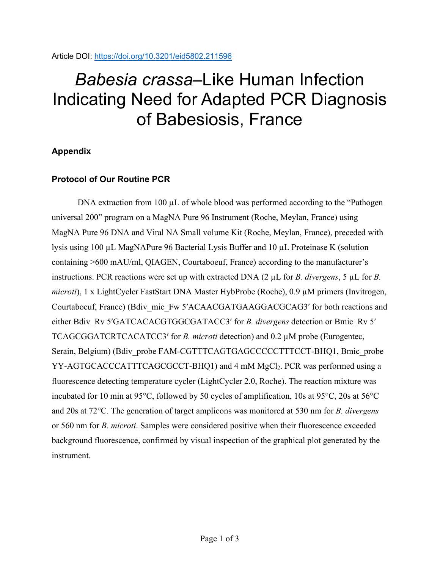# *Babesia crassa*–Like Human Infection Indicating Need for Adapted PCR Diagnosis of Babesiosis, France

## **Appendix**

### **Protocol of Our Routine PCR**

DNA extraction from 100  $\mu$ L of whole blood was performed according to the "Pathogen" universal 200" program on a MagNA Pure 96 Instrument (Roche, Meylan, France) using MagNA Pure 96 DNA and Viral NA Small volume Kit (Roche, Meylan, France), preceded with lysis using 100 µL MagNAPure 96 Bacterial Lysis Buffer and 10 µL Proteinase K (solution containing >600 mAU/ml, QIAGEN, Courtaboeuf, France) according to the manufacturer's instructions. PCR reactions were set up with extracted DNA (2 µL for *B. divergens*, 5 µL for *B. microti*), 1 x LightCycler FastStart DNA Master HybProbe (Roche), 0.9 µM primers (Invitrogen, Courtaboeuf, France) (Bdiv\_mic\_Fw 5′ACAACGATGAAGGACGCAG3′ for both reactions and either Bdiv\_Rv 5'GATCACACGTGGCGATACC3' for *B. divergens* detection or Bmic\_Rv 5' TCAGCGGATCRTCACATCC3′ for *B. microti* detection) and 0.2 µM probe (Eurogentec, Serain, Belgium) (Bdiv\_probe FAM-CGTTTCAGTGAGCCCCCTTTCCT-BHQ1, Bmic\_probe YY-AGTGCACCCATTTCAGCGCCT-BHQ1) and 4 mM MgCl<sub>2</sub>. PCR was performed using a fluorescence detecting temperature cycler (LightCycler 2.0, Roche). The reaction mixture was incubated for 10 min at 95°C, followed by 50 cycles of amplification, 10s at 95°C, 20s at 56°C and 20s at 72°C. The generation of target amplicons was monitored at 530 nm for *B. divergens* or 560 nm for *B. microti*. Samples were considered positive when their fluorescence exceeded background fluorescence, confirmed by visual inspection of the graphical plot generated by the instrument.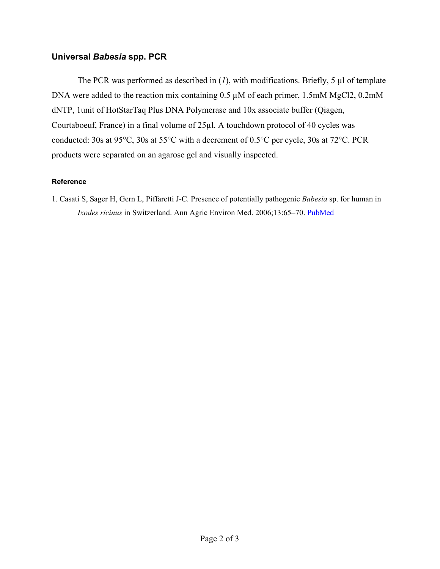#### **Universal** *Babesia* **spp. PCR**

The PCR was performed as described in  $(1)$ , with modifications. Briefly, 5  $\mu$ l of template DNA were added to the reaction mix containing 0.5  $\mu$ M of each primer, 1.5mM MgCl2, 0.2mM dNTP, 1unit of HotStarTaq Plus DNA Polymerase and 10x associate buffer (Qiagen, Courtaboeuf, France) in a final volume of 25µl. A touchdown protocol of 40 cycles was conducted: 30s at 95°C, 30s at 55°C with a decrement of 0.5°C per cycle, 30s at 72°C. PCR products were separated on an agarose gel and visually inspected.

#### **Reference**

1. Casati S, Sager H, Gern L, Piffaretti J-C. Presence of potentially pathogenic *Babesia* sp. for human in *Ixodes ricinus* in Switzerland. Ann Agric Environ Med. 2006;13:65–70. [PubMed](https://www.ncbi.nlm.nih.gov/entrez/query.fcgi?cmd=Retrieve&db=PubMed&list_uids=16841874&dopt=Abstract)